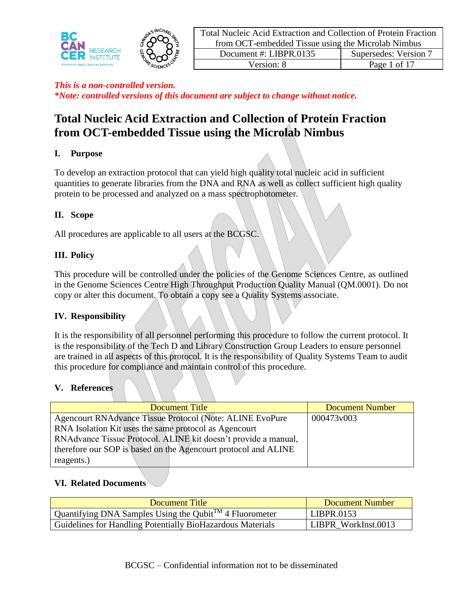

# **Total Nucleic Acid Extraction and Collection of Protein Fraction from OCT-embedded Tissue using the Microlab Nimbus**

# **I. Purpose**

To develop an extraction protocol that can yield high quality total nucleic acid in sufficient quantities to generate libraries from the DNA and RNA as well as collect sufficient high quality protein to be processed and analyzed on a mass spectrophotometer.

# **II. Scope**

All procedures are applicable to all users at the BCGSC.

# **III. Policy**

This procedure will be controlled under the policies of the Genome Sciences Centre, as outlined in the Genome Sciences Centre High Throughput Production Quality Manual (QM.0001). Do not copy or alter this document. To obtain a copy see a Quality Systems associate.

### **IV. Responsibility**

It is the responsibility of all personnel performing this procedure to follow the current protocol. It is the responsibility of the Tech D and Library Construction Group Leaders to ensure personnel are trained in all aspects of this protocol. It is the responsibility of Quality Systems Team to audit this procedure for compliance and maintain control of this procedure.

### **V. References**

| Document Title                                                 | <b>Document Number</b> |
|----------------------------------------------------------------|------------------------|
| Agencourt RNAdvance Tissue Protocol (Note: ALINE EvoPure       | 000473v003             |
| RNA Isolation Kit uses the same protocol as Agencourt          |                        |
| RNAdvance Tissue Protocol. ALINE kit doesn't provide a manual, |                        |
| therefore our SOP is based on the Agencourt protocol and ALINE |                        |
| reagents.)                                                     |                        |

### **VI. Related Documents**

| Document Title                                                      | Document Number     |
|---------------------------------------------------------------------|---------------------|
| Quantifying DNA Samples Using the Qubit <sup>TM</sup> 4 Fluorometer | LIBPR.0153          |
| Guidelines for Handling Potentially BioHazardous Materials          | LIBPR WorkInst.0013 |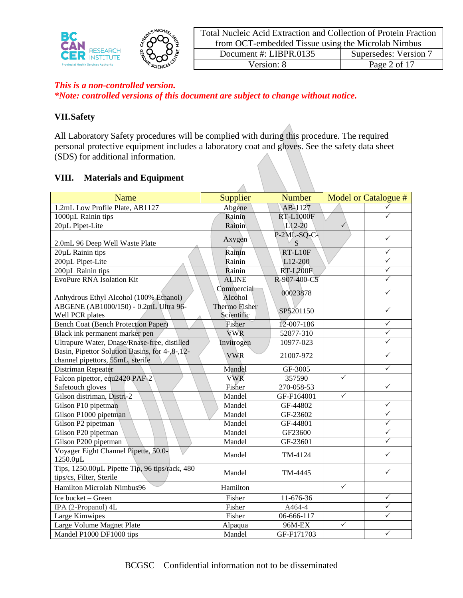

|            | Total Nucleic Acid Extraction and Collection of Protein Fraction |                       |  |
|------------|------------------------------------------------------------------|-----------------------|--|
|            | from OCT-embedded Tissue using the Microlab Nimbus               |                       |  |
|            | Document #: LIBPR.0135                                           | Supersedes: Version 7 |  |
| Version: 8 |                                                                  | Page 2 of 17          |  |

*\*Note: controlled versions of this document are subject to change without notice.*

### **VII.Safety**

All Laboratory Safety procedures will be complied with during this procedure. The required personal protective equipment includes a laboratory coat and gloves. See the safety data sheet (SDS) for additional information.

### **VIII. Materials and Equipment**

| Name                                                                               | Supplier                    | <b>Number</b>    |              | Model or Catalogue # |
|------------------------------------------------------------------------------------|-----------------------------|------------------|--------------|----------------------|
| 1.2mL Low Profile Plate, AB1127                                                    | Abgene                      | AB-1127          |              | ✓                    |
| 1000µL Rainin tips                                                                 | Rainin                      | <b>RT-L1000F</b> |              | ✓                    |
| 20µL Pipet-Lite                                                                    | Rainin                      | $L$ 12-20        | $\checkmark$ |                      |
|                                                                                    | Axygen                      | $P-2ML-SQ-C$     |              | $\checkmark$         |
| 2.0mL 96 Deep Well Waste Plate                                                     |                             | S                |              |                      |
| 20µL Rainin tips                                                                   | Rainin                      | RT-L10F          |              | $\checkmark$         |
| 200µL Pipet-Lite                                                                   | Rainin                      | L12-200          |              | $\checkmark$         |
| 200µL Rainin tips                                                                  | Rainin                      | <b>RT-L200F</b>  |              | $\checkmark$         |
| <b>EvoPure RNA Isolation Kit</b>                                                   | <b>ALINE</b>                | R-907-400-C5     |              |                      |
| Anhydrous Ethyl Alcohol (100% Ethanol)                                             | Commercial<br>Alcohol       | 00023878         |              | $\checkmark$         |
| ABGENE (AB1000/150) - 0.2mL Ultra 96-<br>Well PCR plates                           | Thermo Fisher<br>Scientific | SP5201150        |              | $\checkmark$         |
| <b>Bench Coat (Bench Protection Paper)</b>                                         | Fisher                      | 12-007-186       |              | $\checkmark$         |
| Black ink permanent marker pen                                                     | <b>VWR</b>                  | 52877-310        |              | ✓                    |
| Ultrapure Water, Dnase/Rnase-free, distilled                                       | Invitrogen                  | 10977-023        |              | $\checkmark$         |
| Basin, Pipettor Solution Basins, for 4-,8-,12-<br>channel pipettors, 55mL, sterile | <b>VWR</b>                  | 21007-972        |              | ✓                    |
| Distriman Repeater                                                                 | Mandel                      | GF-3005          |              | ✓                    |
| Falcon pipettor, equ2420 PAF-2                                                     | <b>VWR</b>                  | 357590           | $\checkmark$ |                      |
| Safetouch gloves                                                                   | Fisher                      | 270-058-53       |              | $\checkmark$         |
| Gilson distriman, Distri-2                                                         | Mandel                      | GF-F164001       | $\checkmark$ |                      |
| Gilson P10 pipetman                                                                | Mandel                      | GF-44802         |              | $\checkmark$         |
| Gilson P1000 pipetman                                                              | Mandel                      | GF-23602         |              | $\checkmark$         |
| Gilson P2 pipetman                                                                 | Mandel                      | GF-44801         |              | $\checkmark$         |
| Gilson P20 pipetman                                                                | Mandel                      | GF23600          |              | ✓                    |
| Gilson P200 pipetman                                                               | Mandel                      | GF-23601         |              | ✓                    |
| Voyager Eight Channel Pipette, 50.0-<br>1250.0µL                                   | Mandel                      | TM-4124          |              | $\checkmark$         |
| Tips, 1250.00µL Pipette Tip, 96 tips/rack, 480<br>tips/cs, Filter, Sterile         | Mandel                      | TM-4445          |              | $\checkmark$         |
| Hamilton Microlab Nimbus96                                                         | Hamilton                    |                  | $\checkmark$ |                      |
| Ice bucket - Green                                                                 | Fisher                      | 11-676-36        |              | $\checkmark$         |
| IPA (2-Propanol) 4L                                                                | Fisher                      | A464-4           |              | $\checkmark$         |
| Large Kimwipes                                                                     | Fisher                      | 06-666-117       |              | $\checkmark$         |
| Large Volume Magnet Plate                                                          | Alpaqua                     | 96M-EX           | $\checkmark$ |                      |
| Mandel P1000 DF1000 tips                                                           | Mandel                      | GF-F171703       |              | $\checkmark$         |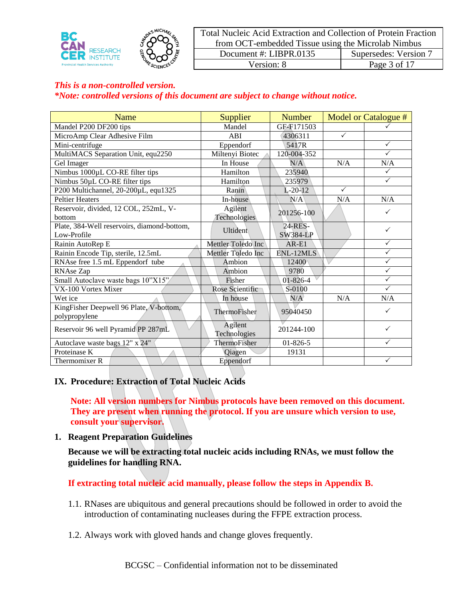

| Total Nucleic Acid Extraction and Collection of Protein Fraction |              |  |
|------------------------------------------------------------------|--------------|--|
| from OCT-embedded Tissue using the Microlab Nimbus               |              |  |
| Supersedes: Version 7<br>Document #: LIBPR.0135                  |              |  |
| Version: 8                                                       | Page 3 of 17 |  |

| Name                                                     | <b>Supplier</b>         | <b>Number</b>   |              | Model or Catalogue # |
|----------------------------------------------------------|-------------------------|-----------------|--------------|----------------------|
| Mandel P200 DF200 tips                                   | Mandel                  | GE-F171503      |              |                      |
| MicroAmp Clear Adhesive Film                             | ABI                     | 4306311         | $\checkmark$ |                      |
| Mini-centrifuge                                          | Eppendorf               | 5417R           |              | $\checkmark$         |
| MultiMACS Separation Unit, equ2250                       | Miltenyi Biotec         | 120-004-352     |              | $\checkmark$         |
| Gel Imager                                               | In House                | N/A             | N/A          | N/A                  |
| Nimbus 1000µL CO-RE filter tips                          | Hamilton                | 235940          |              | $\checkmark$         |
| Nimbus 50µL CO-RE filter tips                            | Hamilton                | 235979          |              | $\checkmark$         |
| P200 Multichannel, 20-200µL, equ1325                     | Ranin                   | $L-20-12$       | $\checkmark$ |                      |
| <b>Peltier Heaters</b>                                   | In-house                | N/A             | N/A          | N/A                  |
| Reservoir, divided, 12 COL, 252mL, V-                    | Agilent                 | 201256-100      |              | $\checkmark$         |
| bottom                                                   | Technologies            |                 |              |                      |
| Plate, 384-Well reservoirs, diamond-bottom,              | Ultident                | 24-RES-         |              | $\checkmark$         |
| Low-Profile                                              |                         | <b>SW384-LP</b> |              |                      |
| Rainin AutoRep E                                         | Mettler Toledo Inc      | $AR-E1$         |              | $\checkmark$         |
| Rainin Encode Tip, sterile, 12.5mL                       | Mettler Toledo Inc      | ENL-12MLS       |              | $\checkmark$         |
| RNAse free 1.5 mL Eppendorf tube                         | Ambion                  | 12400           |              | ✓                    |
| RNAse Zap                                                | Ambion                  | 9780            |              | $\checkmark$         |
| Small Autoclave waste bags 10"X15"                       | Fisher                  | 01-826-4        |              | $\checkmark$         |
| VX-100 Vortex Mixer                                      | Rose Scientific         | S-0100          |              | $\checkmark$         |
| Wet ice                                                  | In house                | N/A             | N/A          | N/A                  |
| KingFisher Deepwell 96 Plate, V-bottom,<br>polypropylene | ThermoFisher            | 95040450        |              | ✓                    |
| Reservoir 96 well Pyramid PP 287mL                       | Agilent<br>Technologies | 201244-100      |              | $\checkmark$         |
| Autoclave waste bags 12" x 24"                           | ThermoFisher            | $01 - 826 - 5$  |              | $\checkmark$         |
| Proteinase K                                             | Qiagen                  | 19131           |              |                      |
| Thermomixer R                                            | Eppendorf               |                 |              | $\checkmark$         |

### **IX. Procedure: Extraction of Total Nucleic Acids**

**Note: All version numbers for Nimbus protocols have been removed on this document. They are present when running the protocol. If you are unsure which version to use, consult your supervisor.**

**1. Reagent Preparation Guidelines**

**Because we will be extracting total nucleic acids including RNAs, we must follow the guidelines for handling RNA.** 

**If extracting total nucleic acid manually, please follow the steps in Appendix B.**

- 1.1. RNases are ubiquitous and general precautions should be followed in order to avoid the introduction of contaminating nucleases during the FFPE extraction process.
- 1.2. Always work with gloved hands and change gloves frequently.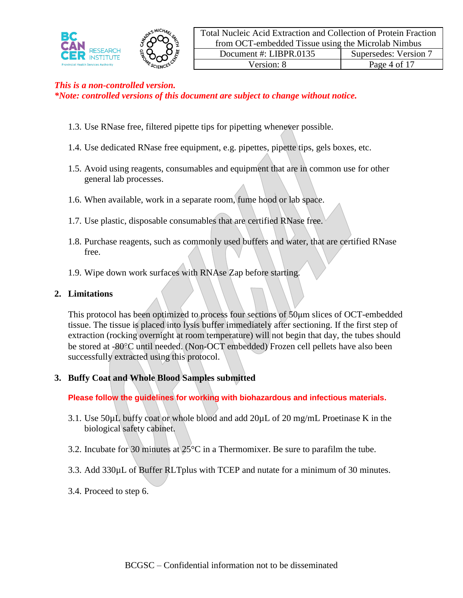

- 1.3. Use RNase free, filtered pipette tips for pipetting whenever possible.
- 1.4. Use dedicated RNase free equipment, e.g. pipettes, pipette tips, gels boxes, etc.
- 1.5. Avoid using reagents, consumables and equipment that are in common use for other general lab processes.
- 1.6. When available, work in a separate room, fume hood or lab space.
- 1.7. Use plastic, disposable consumables that are certified RNase free.
- 1.8. Purchase reagents, such as commonly used buffers and water, that are certified RNase free.
- 1.9. Wipe down work surfaces with RNAse Zap before starting.

### **2. Limitations**

This protocol has been optimized to process four sections of 50μm slices of OCT-embedded tissue. The tissue is placed into lysis buffer immediately after sectioning. If the first step of extraction (rocking overnight at room temperature) will not begin that day, the tubes should be stored at -80C until needed. (Non-OCT embedded) Frozen cell pellets have also been successfully extracted using this protocol.

# **3. Buffy Coat and Whole Blood Samples submitted**

**Please follow the guidelines for working with biohazardous and infectious materials.**

- 3.1. Use 50µL buffy coat or whole blood and add 20µL of 20 mg/mL Proetinase K in the biological safety cabinet.
- 3.2. Incubate for 30 minutes at 25°C in a Thermomixer. Be sure to parafilm the tube.
- 3.3. Add 330µL of Buffer RLTplus with TCEP and nutate for a minimum of 30 minutes.
- 3.4. Proceed to step 6.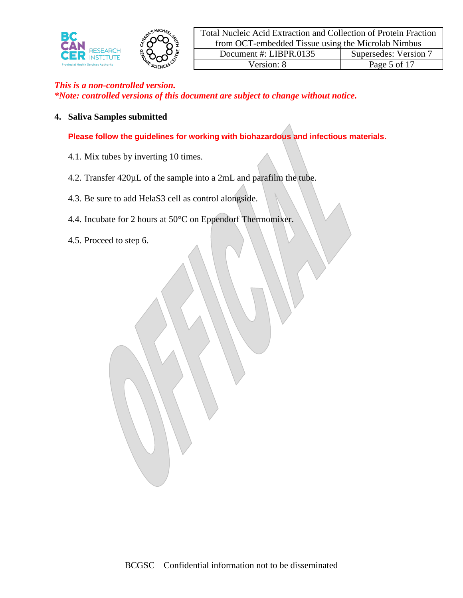

### **4. Saliva Samples submitted**

**Please follow the guidelines for working with biohazardous and infectious materials.**

- 4.1. Mix tubes by inverting 10 times.
- 4.2. Transfer 420µL of the sample into a 2mL and parafilm the tube.
- 4.3. Be sure to add HelaS3 cell as control alongside.
- 4.4. Incubate for 2 hours at 50°C on Eppendorf Thermomixer.
- 4.5. Proceed to step 6.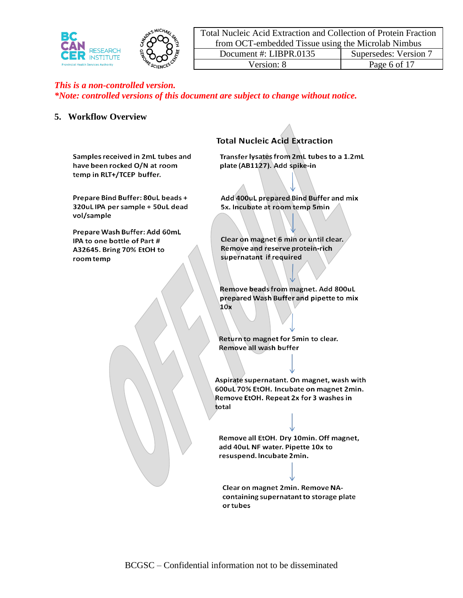

|                                                    | Total Nucleic Acid Extraction and Collection of Protein Fraction |                       |  |
|----------------------------------------------------|------------------------------------------------------------------|-----------------------|--|
| from OCT-embedded Tissue using the Microlab Nimbus |                                                                  |                       |  |
| Document #: $LIBPR.0135$                           |                                                                  | Supersedes: Version 7 |  |
| Version: 8                                         |                                                                  | Page 6 of 17          |  |

### **5. Workflow Overview**

**Total Nucleic Acid Extraction** 

Samples received in 2mL tubes and have been rocked O/N at room temp in RLT+/TCEP buffer.

Prepare Bind Buffer: 80uL beads + 320uL IPA per sample + 50uL dead vol/sample

Prepare Wash Buffer: Add 60mL IPA to one bottle of Part # A32645. Bring 70% EtOH to room temp

#### Transfer lysates from 2mL tubes to a 1.2mL plate (AB1127). Add spike-in

Add 400uL prepared Bind Buffer and mix 5x. Incubate at room temp 5min

Clear on magnet 6 min or until clear. Remove and reserve protein-rich supernatant if required

Remove beads from magnet. Add 800uL prepared Wash Buffer and pipette to mix  $10x$ 

Return to magnet for 5min to clear. Remove all wash buffer

Aspirate supernatant. On magnet, wash with 600uL 70% EtOH. Incubate on magnet 2min. Remove EtOH. Repeat 2x for 3 washes in total

Remove all EtOH. Dry 10min. Off magnet, add 40uL NF water. Pipette 10x to resuspend. Incubate 2min.

Clear on magnet 2min. Remove NAcontaining supernatant to storage plate or tubes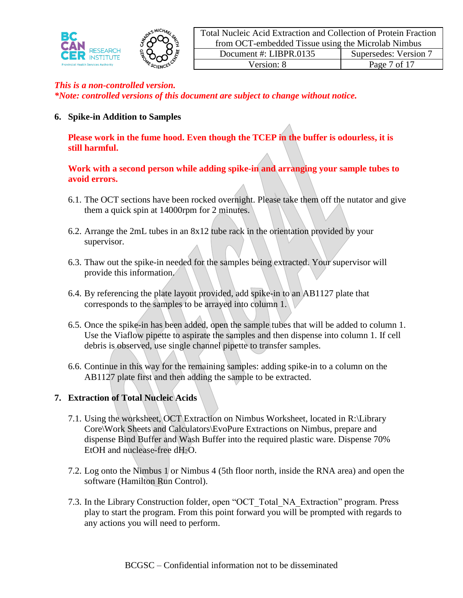

*\*Note: controlled versions of this document are subject to change without notice.*

**6. Spike-in Addition to Samples**

**Please work in the fume hood. Even though the TCEP in the buffer is odourless, it is still harmful.**

## **Work with a second person while adding spike-in and arranging your sample tubes to avoid errors.**

- 6.1. The OCT sections have been rocked overnight. Please take them off the nutator and give them a quick spin at 14000rpm for 2 minutes.
- 6.2. Arrange the 2mL tubes in an 8x12 tube rack in the orientation provided by your supervisor.
- 6.3. Thaw out the spike-in needed for the samples being extracted. Your supervisor will provide this information.
- 6.4. By referencing the plate layout provided, add spike-in to an AB1127 plate that corresponds to the samples to be arrayed into column 1.
- 6.5. Once the spike-in has been added, open the sample tubes that will be added to column 1. Use the Viaflow pipette to aspirate the samples and then dispense into column 1. If cell debris is observed, use single channel pipette to transfer samples.
- 6.6. Continue in this way for the remaining samples: adding spike-in to a column on the AB1127 plate first and then adding the sample to be extracted.

# **7. Extraction of Total Nucleic Acids**

- 7.1. Using the worksheet, OCT Extraction on Nimbus Worksheet, located in R:\Library Core\Work Sheets and Calculators\EvoPure Extractions on Nimbus, prepare and dispense Bind Buffer and Wash Buffer into the required plastic ware. Dispense 70% EtOH and nuclease-free dH<sub>2</sub>O.
- 7.2. Log onto the Nimbus 1 or Nimbus 4 (5th floor north, inside the RNA area) and open the software (Hamilton Run Control).
- 7.3. In the Library Construction folder, open "OCT\_Total\_NA\_Extraction" program. Press play to start the program. From this point forward you will be prompted with regards to any actions you will need to perform.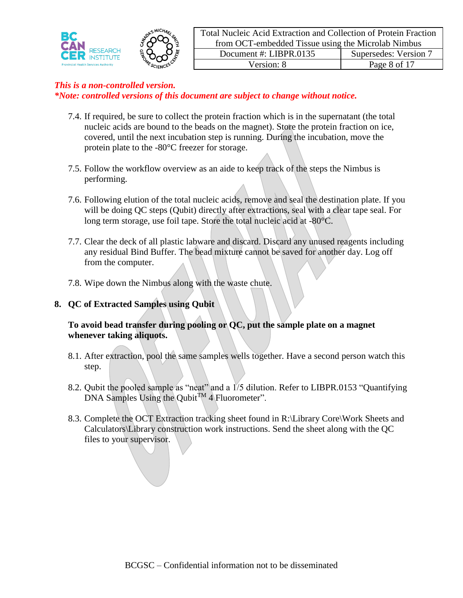

- 7.4. If required, be sure to collect the protein fraction which is in the supernatant (the total nucleic acids are bound to the beads on the magnet). Store the protein fraction on ice, covered, until the next incubation step is running. During the incubation, move the protein plate to the -80°C freezer for storage.
- 7.5. Follow the workflow overview as an aide to keep track of the steps the Nimbus is performing.
- 7.6. Following elution of the total nucleic acids, remove and seal the destination plate. If you will be doing QC steps (Qubit) directly after extractions, seal with a clear tape seal. For long term storage, use foil tape. Store the total nucleic acid at -80°C.
- 7.7. Clear the deck of all plastic labware and discard. Discard any unused reagents including any residual Bind Buffer. The bead mixture cannot be saved for another day. Log off from the computer.
- 7.8. Wipe down the Nimbus along with the waste chute.

## **8. QC of Extracted Samples using Qubit**

## **To avoid bead transfer during pooling or QC, put the sample plate on a magnet whenever taking aliquots.**

- 8.1. After extraction, pool the same samples wells together. Have a second person watch this step.
- 8.2. Qubit the pooled sample as "neat" and a 1/5 dilution. Refer to LIBPR.0153 "Quantifying DNA Samples Using the Qubit<sup>TM</sup> 4 Fluorometer".
- 8.3. Complete the OCT Extraction tracking sheet found in R:\Library Core\Work Sheets and Calculators\Library construction work instructions. Send the sheet along with the QC files to your supervisor.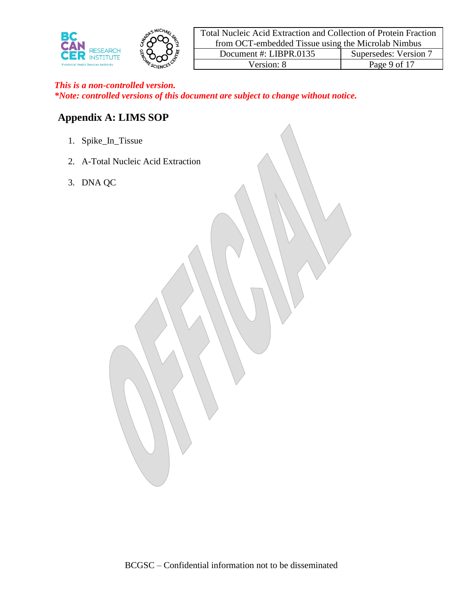

| Total Nucleic Acid Extraction and Collection of Protein Fraction |                       |  |
|------------------------------------------------------------------|-----------------------|--|
| from OCT-embedded Tissue using the Microlab Nimbus               |                       |  |
| Document #: $LIBPR.0135$                                         | Supersedes: Version 7 |  |
| Version: 8                                                       | Page 9 of 17          |  |

# **Appendix A: LIMS SOP**

- 1. Spike\_In\_Tissue
- 2. A-Total Nucleic Acid Extraction
- 3. DNA QC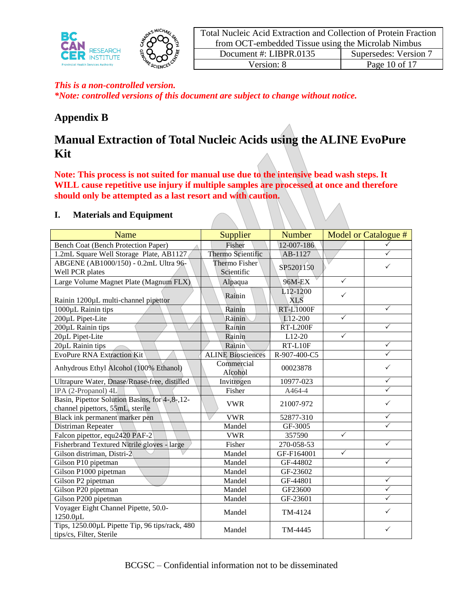

*\*Note: controlled versions of this document are subject to change without notice.*

# **Appendix B**

# **Manual Extraction of Total Nucleic Acids using the ALINE EvoPure Kit**

**Note: This process is not suited for manual use due to the intensive bead wash steps. It WILL cause repetitive use injury if multiple samples are processed at once and therefore should only be attempted as a last resort and with caution.** 

### **I. Materials and Equipment**

| Name                                                                                 | Supplier                 | <b>Number</b>          |              | Model or Catalogue # |
|--------------------------------------------------------------------------------------|--------------------------|------------------------|--------------|----------------------|
| <b>Bench Coat (Bench Protection Paper)</b>                                           | Fisher                   | 12-007-186             |              | ✓                    |
| 1.2mL Square Well Storage Plate, AB1127                                              | Thermo Scientific        | AB-1127                |              |                      |
| ABGENE (AB1000/150) - 0.2mL Ultra 96-                                                | <b>Thermo Fisher</b>     | SP5201150              |              |                      |
| Well PCR plates                                                                      | Scientific               |                        |              |                      |
| Large Volume Magnet Plate (Magnum FLX)                                               | Alpaqua                  | 96M-EX                 | $\checkmark$ |                      |
| Rainin 1200µL multi-channel pipettor                                                 | Rainin                   | L12-1200<br><b>XLS</b> | $\checkmark$ |                      |
| 1000µL Rainin tips                                                                   | Rainin                   | <b>RT-L1000F</b>       |              | ✓                    |
| 200µL Pipet-Lite                                                                     | Rainin                   | $L12-200$              | $\checkmark$ |                      |
| 200µL Rainin tips                                                                    | Rainin                   | ŘT-L200F               |              | ✓                    |
| 20µL Pipet-Lite                                                                      | Rainin                   | L12-20                 | $\checkmark$ |                      |
| 20µL Rainin tips                                                                     | Rainin                   | RT-L10F                |              | ✓                    |
| <b>EvoPure RNA Extraction Kit</b>                                                    | <b>ALINE Biosciences</b> | R-907-400-C5           |              | ✓                    |
| Anhydrous Ethyl Alcohol (100% Ethanol)                                               | Commercial<br>Alcohol    | 00023878               |              | ✓                    |
| Ultrapure Water, Dnase/Rnase-free, distilled                                         | Invitrogen               | 10977-023              |              | $\checkmark$         |
| IPA (2-Propanol) 4L                                                                  | Fisher                   | A464-4                 |              | $\checkmark$         |
| Basin, Pipettor Solution Basins, for 4-, 8-, 12-<br>channel pipettors, 55mL, sterile | <b>VWR</b>               | 21007-972              |              | ✓                    |
| Black ink permanent marker pen                                                       | <b>VWR</b>               | 52877-310              |              | ✓                    |
| Distriman Repeater                                                                   | Mandel                   | GF-3005                |              | $\checkmark$         |
| Falcon pipettor, equ2420 PAF-2                                                       | <b>VWR</b>               | 357590                 | $\checkmark$ |                      |
| Fisherbrand Textured Nitrile gloves - large                                          | Fisher                   | $270 - 058 - 53$       |              | $\checkmark$         |
| Gilson distriman, Distri-2                                                           | Mandel                   | GF-F164001             | $\checkmark$ |                      |
| Gilson P10 pipetman                                                                  | Mandel                   | GF-44802               |              | $\checkmark$         |
| Gilson P1000 pipetman                                                                | Mandel                   | GF-23602               |              |                      |
| Gilson P2 pipetman                                                                   | Mandel                   | GF-44801               |              | $\checkmark$         |
| Gilson P20 pipetman                                                                  | Mandel                   | GF23600                |              | $\checkmark$         |
| Gilson P200 pipetman                                                                 | Mandel                   | GF-23601               |              | ✓                    |
| Voyager Eight Channel Pipette, 50.0-<br>1250.0µL                                     | Mandel                   | TM-4124                |              | ✓                    |
| Tips, 1250.00µL Pipette Tip, 96 tips/rack, 480<br>tips/cs, Filter, Sterile           | Mandel                   | TM-4445                |              | ✓                    |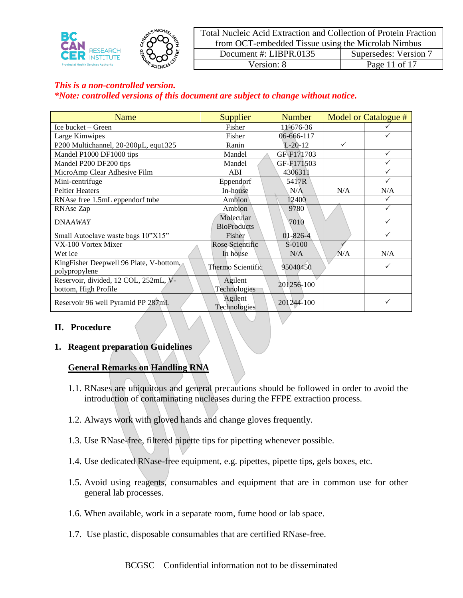

|                                                    | Total Nucleic Acid Extraction and Collection of Protein Fraction |               |  |
|----------------------------------------------------|------------------------------------------------------------------|---------------|--|
| from OCT-embedded Tissue using the Microlab Nimbus |                                                                  |               |  |
| Supersedes: Version 7<br>Document #: LIBPR.0135    |                                                                  |               |  |
| Version: 8                                         |                                                                  | Page 11 of 17 |  |

| Name                                    | Supplier                | <b>Number</b>  |              | Model or Catalogue # |
|-----------------------------------------|-------------------------|----------------|--------------|----------------------|
| Ice bucket - Green                      | Fisher                  | 11-676-36      |              |                      |
| Large Kimwipes                          | Fisher                  | 06-666-117     |              |                      |
| P200 Multichannel, 20-200µL, equ1325    | Ranin                   | $L-20-12$      | $\checkmark$ |                      |
| Mandel P1000 DF1000 tips                | Mandel                  | GF-F171703     |              | $\checkmark$         |
| Mandel P200 DF200 tips                  | Mandel                  | GF-F171503     |              | ✓                    |
| MicroAmp Clear Adhesive Film            | ABI                     | 4306311        |              | ✓                    |
| Mini-centrifuge                         | Eppendorf               | 5417R          |              | $\checkmark$         |
| <b>Peltier Heaters</b>                  | In-house                | N/A            | N/A          | N/A                  |
| RNAse free 1.5mL eppendorf tube         | Ambion                  | 12400          |              | $\checkmark$         |
| RNAse Zap                               | Ambion                  | 9780           |              | $\checkmark$         |
| <b>DNAAWAY</b>                          | Molecular               | 7010           |              |                      |
|                                         | <b>BioProducts</b>      |                |              |                      |
| Small Autoclave waste bags 10"X15"      | Fisher                  | $01 - 826 - 4$ |              | $\checkmark$         |
| VX-100 Vortex Mixer                     | Rose Scientific         | S-0100         |              |                      |
| Wet ice                                 | In house                | N/A            | N/A          | N/A                  |
| KingFisher Deepwell 96 Plate, V-bottom, | Thermo Scientific       | 95040450       |              | $\checkmark$         |
| polypropylene                           |                         |                |              |                      |
| Reservoir, divided, 12 COL, 252mL, V-   | Agilent                 | 201256-100     |              |                      |
| bottom, High Profile                    | Technologies            |                |              |                      |
| Reservoir 96 well Pyramid PP 287mL      | Agilent<br>Technologies | 201244-100     |              | ✓                    |

### **II. Procedure**

### **1. Reagent preparation Guidelines**

### **General Remarks on Handling RNA**

- 1.1. RNases are ubiquitous and general precautions should be followed in order to avoid the introduction of contaminating nucleases during the FFPE extraction process.
- 1.2. Always work with gloved hands and change gloves frequently.
- 1.3. Use RNase-free, filtered pipette tips for pipetting whenever possible.
- 1.4. Use dedicated RNase-free equipment, e.g. pipettes, pipette tips, gels boxes, etc.
- 1.5. Avoid using reagents, consumables and equipment that are in common use for other general lab processes.
- 1.6. When available, work in a separate room, fume hood or lab space.
- 1.7. Use plastic, disposable consumables that are certified RNase-free.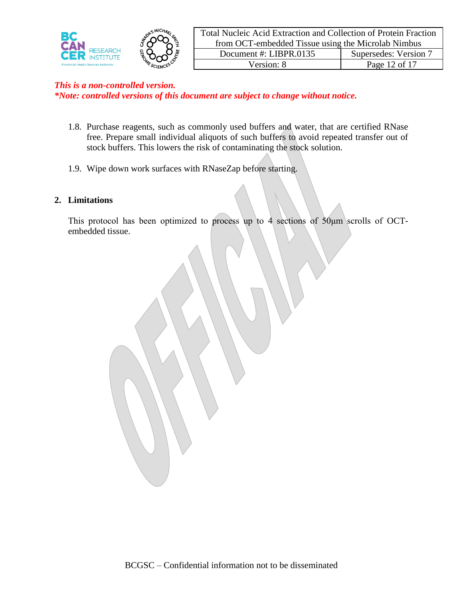

*\*Note: controlled versions of this document are subject to change without notice.*

- 1.8. Purchase reagents, such as commonly used buffers and water, that are certified RNase free. Prepare small individual aliquots of such buffers to avoid repeated transfer out of stock buffers. This lowers the risk of contaminating the stock solution.
- 1.9. Wipe down work surfaces with RNaseZap before starting.

### **2. Limitations**

This protocol has been optimized to process up to 4 sections of 50μm scrolls of OCTembedded tissue.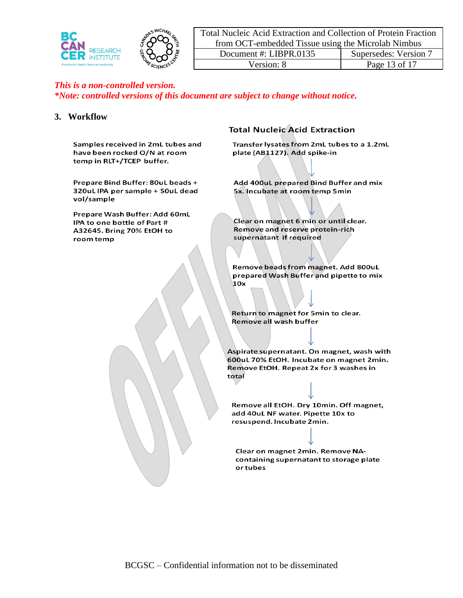

|                                                    | Total Nucleic Acid Extraction and Collection of Protein Fraction |                       |  |
|----------------------------------------------------|------------------------------------------------------------------|-----------------------|--|
| from OCT-embedded Tissue using the Microlab Nimbus |                                                                  |                       |  |
|                                                    | Document #: LIBPR.0135                                           | Supersedes: Version 7 |  |
| Version: 8                                         |                                                                  | Page 13 of 17         |  |

*\*Note: controlled versions of this document are subject to change without notice.*

### **3. Workflow**

Samples received in 2mL tubes and have been rocked O/N at room temp in RLT+/TCEP buffer.

Prepare Bind Buffer: 80uL beads + 320uL IPA per sample + 50uL dead vol/sample

Prepare Wash Buffer: Add 60mL IPA to one bottle of Part # A32645. Bring 70% EtOH to room temp

### **Total Nucleic Acid Extraction**

Transfer lysates from 2mL tubes to a 1.2mL plate (AB1127). Add spike-in

Add 400uL prepared Bind Buffer and mix 5x. Incubate at room temp 5min

Clear on magnet 6 min or until clear. Remove and reserve protein-rich supernatant if required

Remove beads from magnet. Add 800uL prepared Wash Buffer and pipette to mix  $10x$ 

Return to magnet for 5min to clear. Remove all wash buffer

Aspirate supernatant. On magnet, wash with 600uL 70% EtOH. Incubate on magnet 2min. Remove EtOH. Repeat 2x for 3 washes in total

Remove all EtOH. Dry 10min. Off magnet, add 40uL NF water. Pipette 10x to resuspend. Incubate 2min.

Clear on magnet 2min. Remove NAcontaining supernatant to storage plate or tubes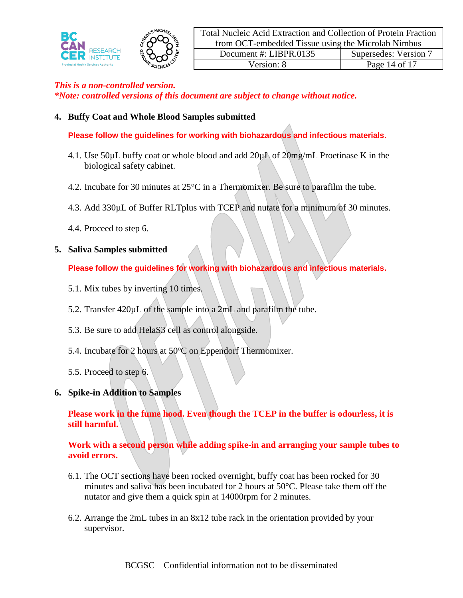

### **4. Buffy Coat and Whole Blood Samples submitted**

**Please follow the guidelines for working with biohazardous and infectious materials.**

- 4.1. Use 50 $\mu$ L buffy coat or whole blood and add 20 $\mu$ L of 20mg/mL Proetinase K in the biological safety cabinet.
- 4.2. Incubate for 30 minutes at 25°C in a Thermomixer. Be sure to parafilm the tube.
- 4.3. Add 330µL of Buffer RLTplus with TCEP and nutate for a minimum of 30 minutes.
- 4.4. Proceed to step 6.

### **5. Saliva Samples submitted**

**Please follow the guidelines for working with biohazardous and infectious materials.**

- 5.1. Mix tubes by inverting 10 times.
- 5.2. Transfer 420µL of the sample into a 2mL and parafilm the tube.
- 5.3. Be sure to add HelaS3 cell as control alongside.
- 5.4. Incubate for 2 hours at  $50^{\circ}$ C on Eppendorf Thermomixer.
- 5.5. Proceed to step 6.
- **6. Spike-in Addition to Samples**

**Please work in the fume hood. Even though the TCEP in the buffer is odourless, it is still harmful.**

**Work with a second person while adding spike-in and arranging your sample tubes to avoid errors.**

- 6.1. The OCT sections have been rocked overnight, buffy coat has been rocked for 30 minutes and saliva has been incubated for 2 hours at  $50^{\circ}$ C. Please take them off the nutator and give them a quick spin at 14000rpm for 2 minutes.
- 6.2. Arrange the 2mL tubes in an 8x12 tube rack in the orientation provided by your supervisor.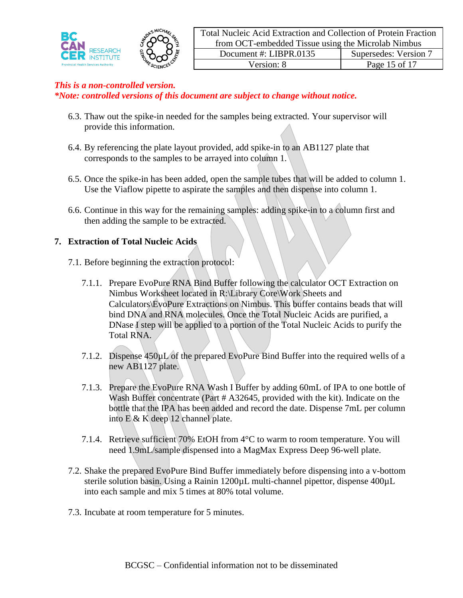

- 6.3. Thaw out the spike-in needed for the samples being extracted. Your supervisor will provide this information.
- 6.4. By referencing the plate layout provided, add spike-in to an AB1127 plate that corresponds to the samples to be arrayed into column 1.
- 6.5. Once the spike-in has been added, open the sample tubes that will be added to column 1. Use the Viaflow pipette to aspirate the samples and then dispense into column 1.
- 6.6. Continue in this way for the remaining samples: adding spike-in to a column first and then adding the sample to be extracted.

## **7. Extraction of Total Nucleic Acids**

- 7.1. Before beginning the extraction protocol:
	- 7.1.1. Prepare EvoPure RNA Bind Buffer following the calculator OCT Extraction on Nimbus Worksheet located in R:\Library Core\Work Sheets and Calculators\EvoPure Extractions on Nimbus. This buffer contains beads that will bind DNA and RNA molecules. Once the Total Nucleic Acids are purified, a DNase I step will be applied to a portion of the Total Nucleic Acids to purify the Total RNA.
	- 7.1.2. Dispense 450µL of the prepared EvoPure Bind Buffer into the required wells of a new AB1127 plate.
	- 7.1.3. Prepare the EvoPure RNA Wash I Buffer by adding 60mL of IPA to one bottle of Wash Buffer concentrate (Part # A32645, provided with the kit). Indicate on the bottle that the IPA has been added and record the date. Dispense 7mL per column into E & K deep 12 channel plate.
	- 7.1.4. Retrieve sufficient 70% EtOH from 4°C to warm to room temperature. You will need 1.9mL/sample dispensed into a MagMax Express Deep 96-well plate.
- 7.2. Shake the prepared EvoPure Bind Buffer immediately before dispensing into a v-bottom sterile solution basin. Using a Rainin 1200µL multi-channel pipettor, dispense 400µL into each sample and mix 5 times at 80% total volume.
- 7.3. Incubate at room temperature for 5 minutes.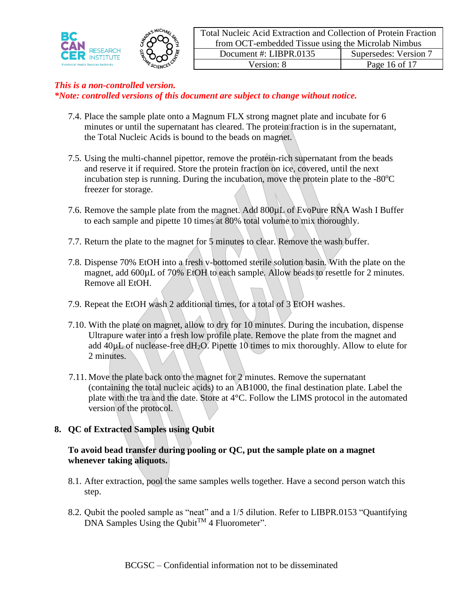

- 7.4. Place the sample plate onto a Magnum FLX strong magnet plate and incubate for 6 minutes or until the supernatant has cleared. The protein fraction is in the supernatant, the Total Nucleic Acids is bound to the beads on magnet.
- 7.5. Using the multi-channel pipettor, remove the protein-rich supernatant from the beads and reserve it if required. Store the protein fraction on ice, covered, until the next incubation step is running. During the incubation, move the protein plate to the  $-80^{\circ}$ C freezer for storage.
- 7.6. Remove the sample plate from the magnet. Add  $800\mu L$  of EvoPure RNA Wash I Buffer to each sample and pipette 10 times at 80% total volume to mix thoroughly.
- 7.7. Return the plate to the magnet for 5 minutes to clear. Remove the wash buffer.
- 7.8. Dispense 70% EtOH into a fresh v-bottomed sterile solution basin. With the plate on the magnet, add 600µL of 70% EtOH to each sample. Allow beads to resettle for 2 minutes. Remove all EtOH.
- 7.9. Repeat the EtOH wash 2 additional times, for a total of 3 EtOH washes.
- 7.10. With the plate on magnet, allow to dry for 10 minutes. During the incubation, dispense Ultrapure water into a fresh low profile plate. Remove the plate from the magnet and add  $40\mu$ L of nuclease-free dH<sub>2</sub>O. Pipette 10 times to mix thoroughly. Allow to elute for 2 minutes.
- 7.11. Move the plate back onto the magnet for 2 minutes. Remove the supernatant (containing the total nucleic acids) to an AB1000, the final destination plate. Label the plate with the tra and the date. Store at 4°C. Follow the LIMS protocol in the automated version of the protocol.

# **8. QC of Extracted Samples using Qubit**

## **To avoid bead transfer during pooling or QC, put the sample plate on a magnet whenever taking aliquots.**

- 8.1. After extraction, pool the same samples wells together. Have a second person watch this step.
- 8.2. Qubit the pooled sample as "neat" and a 1/5 dilution. Refer to LIBPR.0153 "Quantifying  $DNA$  Samples Using the Qubit<sup>TM</sup> 4 Fluorometer".